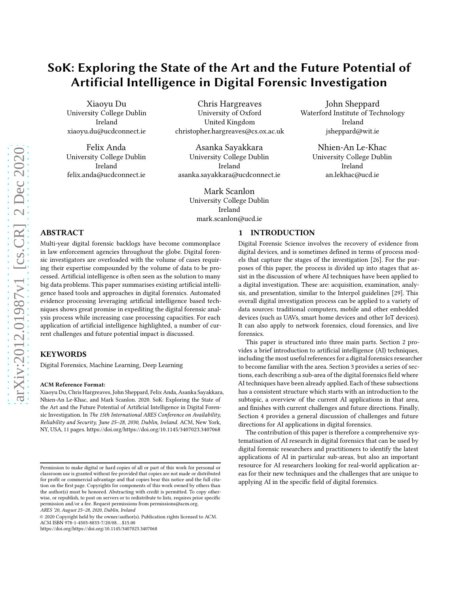# SoK: Exploring the State of the Art and the Future Potential of Artificial Intelligence in Digital Forensic Investigation

Xiaoyu Du University College Dublin Ireland xiaoyu.du@ucdconnect.ie

Felix Anda University College Dublin Ireland felix.anda@ucdconnect.ie

Chris Hargreaves University of Oxford United Kingdom christopher.hargreaves@cs.ox.ac.uk

Asanka Sayakkara University College Dublin Ireland asanka.sayakkara@ucdconnect.ie

> Mark Scanlon University College Dublin Ireland mark.scanlon@ucd.ie

## ABSTRACT

Multi-year digital forensic backlogs have become commonplace in law enforcement agencies throughout the globe. Digital forensic investigators are overloaded with the volume of cases requiring their expertise compounded by the volume of data to be processed. Artificial intelligence is often seen as the solution to many big data problems. This paper summarises existing artificial intelligence based tools and approaches in digital forensics. Automated evidence processing leveraging artificial intelligence based techniques shows great promise in expediting the digital forensic analysis process while increasing case processing capacities. For each application of artificial intelligence highlighted, a number of current challenges and future potential impact is discussed.

#### **KEYWORDS**

Digital Forensics, Machine Learning, Deep Learning

#### ACM Reference Format:

Xiaoyu Du, Chris Hargreaves, John Sheppard, Felix Anda, Asanka Sayakkara, Nhien-An Le-Khac, and Mark Scanlon. 2020. SoK: Exploring the State of the Art and the Future Potential of Artificial Intelligence in Digital Forensic Investigation. In The 15th International ARES Conference on Availability, Reliability and Security, June 25–28, 2030, Dublin, Ireland. ACM, New York, NY, USA, [11](#page-10-0) pages.<https://doi.org/https://doi.org/10.1145/3407023.3407068>

<https://doi.org/https://doi.org/10.1145/3407023.3407068>

## 1 INTRODUCTION

Digital Forensic Science involves the recovery of evidence from digital devices, and is sometimes defined in terms of process models that capture the stages of the investigation [\[26\]](#page-8-0). For the purposes of this paper, the process is divided up into stages that assist in the discussion of where AI techniques have been applied to a digital investigation. These are: acquisition, examination, analysis, and presentation, similar to the Interpol guidelines [\[29](#page-8-1)]. This overall digital investigation process can be applied to a variety of data sources: traditional computers, mobile and other embedded devices (such as UAVs, smart home devices and other IoT devices). It can also apply to network forensics, cloud forensics, and live forensics.

John Sheppard Waterford Institute of Technology Ireland jsheppard@wit.ie

> Nhien-An Le-Khac University College Dublin Ireland an.lekhac@ucd.ie

This paper is structured into three main parts. Section 2 provides a brief introduction to artificial intelligence (AI) techniques, including the most useful references for a digital forensics researcher to become familiar with the area. Section 3 provides a series of sections, each describing a sub-area of the digital forensics field where AI techniques have been already applied. Each of these subsections has a consistent structure which starts with an introduction to the subtopic, a overview of the current AI applications in that area, and finishes with current challenges and future directions. Finally, Section 4 provides a general discussion of challenges and future directions for AI applications in digital forensics.

The contribution of this paper is therefore a comprehensive systematisation of AI research in digital forensics that can be used by digital forensic researchers and practitioners to identify the latest applications of AI in particular sub-areas, but also an important resource for AI researchers looking for real-world application areas for their new techniques and the challenges that are unique to applying AI in the specific field of digital forensics.

Permission to make digital or hard copies of all or part of this work for personal or classroom use is granted without fee provided that copies are not made or distributed for profit or commercial advantage and that copies bear this notice and the full citation on the first page. Copyrights for components of this work owned by others than the author(s) must be honored. Abstracting with credit is permitted. To copy otherwise, or republish, to post on servers or to redistribute to lists, requires prior specific permission and/or a fee. Request permissions from permissions@acm.org. ARES '20, August 25–28, 2020, Dublin, Ireland

<sup>© 2020</sup> Copyright held by the owner/author(s). Publication rights licensed to ACM. ACM ISBN 978-1-4503-8833-7/20/08. . . \$15.00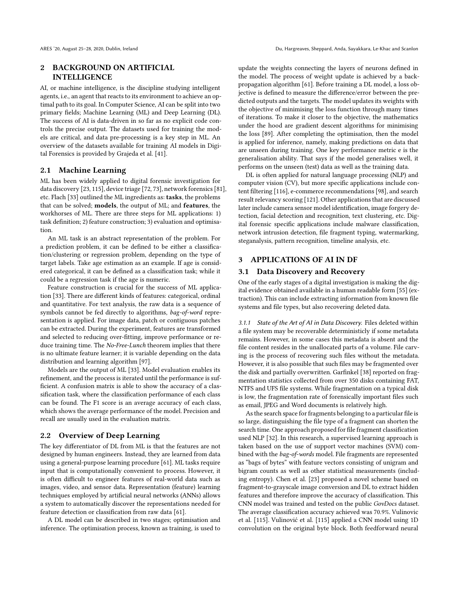## 2 BACKGROUND ON ARTIFICIAL INTELLIGENCE

AI, or machine intelligence, is the discipline studying intelligent agents, i.e., an agent that reacts to its environment to achieve an optimal path to its goal. In Computer Science, AI can be split into two primary fields; Machine Learning (ML) and Deep Learning (DL). The success of AI is data-driven in so far as no explicit code controls the precise output. The datasets used for training the models are critical, and data pre-processing is a key step in ML. An overview of the datasets available for training AI models in Digital Forensics is provided by Grajeda et al. [\[41](#page-8-2)].

#### 2.1 Machine Learning

ML has been widely applied to digital forensic investigation for data discovery [\[23](#page-8-3), [115](#page-9-0)], device triage [\[72,](#page-9-1) [73\]](#page-9-2), network forensics [\[81](#page-9-3)], etc. Flach [\[33\]](#page-8-4) outlined the ML ingredients as: tasks, the problems that can be solved; models, the output of ML; and features, the workhorses of ML. There are three steps for ML applications: 1) task definition; 2) feature construction; 3) evaluation and optimisation.

An ML task is an abstract representation of the problem. For a prediction problem, it can be defined to be either a classification/clustering or regression problem, depending on the type of target labels. Take age estimation as an example. If age is considered categorical, it can be defined as a classification task; while it could be a regression task if the age is numeric.

Feature construction is crucial for the success of ML application [\[33](#page-8-4)]. There are different kinds of features: categorical, ordinal and quantitative. For text analysis, the raw data is a sequence of symbols cannot be fed directly to algorithms, bag-of-word representation is applied. For image data, patch or contiguous patches can be extracted. During the experiment, features are transformed and selected to reducing over-fitting, improve performance or reduce training time. The No-Free-Lunch theorem implies that there is no ultimate feature learner; it is variable depending on the data distribution and learning algorithm [\[97](#page-9-4)].

Models are the output of ML [\[33\]](#page-8-4). Model evaluation enables its refinement, and the process is iterated until the performance is sufficient. A confusion matrix is able to show the accuracy of a classification task, where the classification performance of each class can be found. The F1 score is an average accuracy of each class, which shows the average performance of the model. Precision and recall are usually used in the evaluation matrix.

#### 2.2 Overview of Deep Learning

The key differentiator of DL from ML is that the features are not designed by human engineers. Instead, they are learned from data using a general-purpose learning procedure [\[61](#page-8-5)]. ML tasks require input that is computationally convenient to process. However, it is often difficult to engineer features of real-world data such as images, video, and sensor data. Representation (feature) learning techniques employed by artificial neural networks (ANNs) allows a system to automatically discover the representations needed for feature detection or classification from raw data [\[61](#page-8-5)].

A DL model can be described in two stages; optimisation and inference. The optimisation process, known as training, is used to update the weights connecting the layers of neurons defined in the model. The process of weight update is achieved by a backpropagation algorithm [\[61](#page-8-5)]. Before training a DL model, a loss objective is defined to measure the difference/error between the predicted outputs and the targets. The model updates its weights with the objective of minimising the loss function through many times of iterations. To make it closer to the objective, the mathematics under the hood are gradient descent algorithms for minimising the loss [\[89](#page-9-5)]. After completing the optimisation, then the model is applied for inference, namely, making predictions on data that are unseen during training. One key performance metric e is the generalisation ability. That says if the model generalises well, it performs on the unseen (test) data as well as the training data.

DL is often applied for natural language processing (NLP) and computer vision (CV), but more specific applications include content filtering [\[116\]](#page-10-1), e-commerce recommendations [\[98\]](#page-9-6), and search result relevancy scoring [\[121](#page-10-2)]. Other applications that are discussed later include camera sensor model identification, image forgery detection, facial detection and recognition, text clustering, etc. Digital forensic specific applications include malware classification, network intrusion detection, file fragment typing, watermarking, steganalysis, pattern recognition, timeline analysis, etc.

## 3 APPLICATIONS OF AI IN DF

#### 3.1 Data Discovery and Recovery

One of the early stages of a digital investigation is making the digital evidence obtained available in a human readable form [\[55\]](#page-8-6) (extraction). This can include extracting information from known file systems and file types, but also recovering deleted data.

3.1.1 State of the Art of AI in Data Discovery. Files deleted within a file system may be recoverable deterministicly if some metadata remains. However, in some cases this metadata is absent and the file content resides in the unallocated parts of a volume. File carving is the process of recovering such files without the metadata. However, it is also possible that such files may be fragmented over the disk and partially overwritten. Garfinkel [\[38](#page-8-7)] reported on fragmentation statistics collected from over 350 disks containing FAT, NTFS and UFS file systems. While fragmentation on a typical disk is low, the fragmentation rate of forensically important files such as email, JPEG and Word documents is relatively high.

As the search space for fragments belonging to a particular file is so large, distinguishing the file type of a fragment can shorten the search time. One approach proposed for file fragment classification used NLP [\[32\]](#page-8-8). In this research, a supervised learning approach is taken based on the use of support vector machines (SVM) combined with the bag-of-words model. File fragments are represented as "bags of bytes" with feature vectors consisting of unigram and bigram counts as well as other statistical measurements (including entropy). Chen et al. [\[23](#page-8-3)] proposed a novel scheme based on fragment-to-grayscale image conversion and DL to extract hidden features and therefore improve the accuracy of classification. This CNN model was trained and tested on the public GovDocs dataset. The average classification accuracy achieved was 70.9%. Vulinovic et al. [\[115](#page-9-0)]. Vulinović et al. [\[115\]](#page-9-0) applied a CNN model using 1D convolution on the original byte block. Both feedforward neural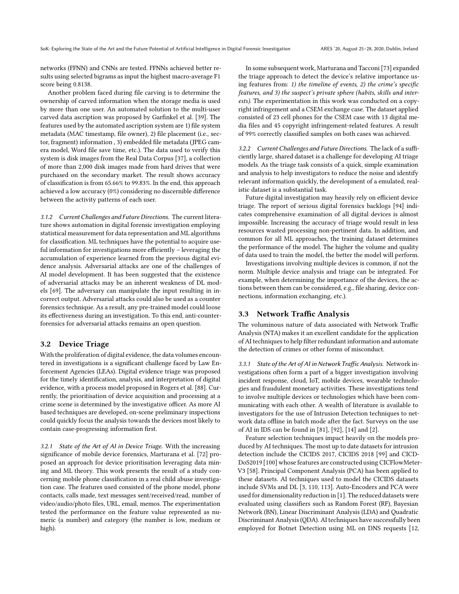networks (FFNN) and CNNs are tested. FFNNs achieved better results using selected bigrams as input the highest macro-average F1 score being 0.8138.

Another problem faced during file carving is to determine the ownership of carved information when the storage media is used by more than one user. An automated solution to the multi-user carved data ascription was proposed by Garfinkel et al. [\[39](#page-8-9)]. The features used by the automated ascription system are 1) file system metadata (MAC timestamp, file owner), 2) file placement (i.e., sector, fragment) information , 3) embedded file metadata (JPEG camera model, Word file save time, etc.). The data used to verify this system is disk images from the Real Data Corpus [\[37](#page-8-10)], a collection of more than 2,000 disk images made from hard drives that were purchased on the secondary market. The result shows accuracy of classification is from 65.66% to 99.83%. In the end, this approach achieved a low accuracy (0%) considering no discernible difference between the activity patterns of each user.

3.1.2 Current Challenges and Future Directions. The current literature shows automation in digital forensic investigation employing statistical measurement for data representation and ML algorithms for classification. ML techniques have the potential to acquire useful information for investigations more efficiently – leveraging the accumulation of experience learned from the previous digital evidence analysis. Adversarial attacks are one of the challenges of AI model development. It has been suggested that the existence of adversarial attacks may be an inherent weakness of DL models [\[69](#page-8-11)]. The adversary can manipulate the input resulting in incorrect output. Adversarial attacks could also be used as a counter forensics technique. As a result, any pre-trained model could loose its effectiveness during an investigation. To this end, anti-counterforensics for adversarial attacks remains an open question.

#### 3.2 Device Triage

With the proliferation of digital evidence, the data volumes encountered in investigations is a significant challenge faced by Law Enforcement Agencies (LEAs). Digital evidence triage was proposed for the timely identification, analysis, and interpretation of digital evidence, with a process model proposed in Rogers et al. [\[88\]](#page-9-7). Currently, the prioritisation of device acquisition and processing at a crime scene is determined by the investigative officer. As more AI based techniques are developed, on-scene preliminary inspections could quickly focus the analysis towards the devices most likely to contain case-progressing information first.

3.2.1 State of the Art of AI in Device Triage. With the increasing significance of mobile device forensics, Marturana et al. [\[72](#page-9-1)] proposed an approach for device prioritisation leveraging data mining and ML theory. This work presents the result of a study concerning mobile phone classification in a real child abuse investigation case. The features used consisted of the phone model, phone contacts, calls made, text messages sent/received/read, number of video/audio/photo files, URL, email, memos. The experimentation tested the performance on the feature value represented as numeric (a number) and category (the number is low, medium or high).

In some subsequent work, Marturana and Tacconi [\[73\]](#page-9-2) expanded the triage approach to detect the device's relative importance using features from: 1) the timeline of events, 2) the crime's specific features, and 3) the suspect's private sphere (habits, skills and interests). The experimentation in this work was conducted on a copyright infringement and a CSEM exchange case. The dataset applied consisted of 23 cell phones for the CSEM case with 13 digital media files and 45 copyright infringement-related features. A result of 99% correctly classified samples on both cases was achieved.

3.2.2 Current Challenges and Future Directions. The lack of a sufficiently large, shared dataset is a challenge for developing AI triage models. As the triage task consists of a quick, simple examination and analysis to help investigators to reduce the noise and identify relevant information quickly, the development of a emulated, realistic dataset is a substantial task.

Future digital investigation may heavily rely on efficient device triage. The report of serious digital forensics backlogs [\[94](#page-9-8)] indicates comprehensive examination of all digital devices is almost impossible. Increasing the accuracy of triage would result in less resources wasted processing non-pertinent data. In addition, and common for all ML approaches, the training dataset determines the performance of the model. The higher the volume and quality of data used to train the model, the better the model will perform.

Investigations involving multiple devices is common, if not the norm. Multiple device analysis and triage can be integrated. For example, when determining the importance of the devices, the actions between them can be considered, e.g., file sharing, device connections, information exchanging, etc.).

#### 3.3 Network Traffic Analysis

The voluminous nature of data associated with Network Traffic Analysis (NTA) makes it an excellent candidate for the application of AI techniques to help filter redundant information and automate the detection of crimes or other forms of misconduct.

3.3.1 State of the Art of AI in Network Traffic Analysis. Network investigations often form a part of a bigger investigation involving incident response, cloud, IoT, mobile devices, wearable technologies and fraudulent monetary activities. These investigations tend to involve multiple devices or technologies which have been communicating with each other. A wealth of literature is available to investigators for the use of Intrusion Detection techniques to network data offline in batch mode after the fact. Surveys on the use of AI in IDS can be found in [\[81](#page-9-3)], [\[92](#page-9-9)], [\[14](#page-7-0)] and [\[2\]](#page-7-1).

Feature selection techniques impact heavily on the models produced by AI techniques. The most up to date datasets for intrusion detection include the CICIDS 2017, CICIDS 2018 [\[99](#page-9-10)] and CICD-DoS2019 [\[100\]](#page-9-11) whose features are constructed using CICFlowMeter-V3 [\[58](#page-8-12)]. Principal Component Analysis (PCA) has been applied to these datasets. AI techniques used to model the CICIDS datasets include SVMs and DL [\[3](#page-7-2), [110,](#page-9-12) [113\]](#page-9-13). Auto-Encoders and PCA were used for dimensionality reduction in [\[1](#page-7-3)]. The reduced datasets were evaluated using classifiers such as Random Forest (RF), Bayesian Network (BN), Linear Discriminant Analysis (LDA) and Quadratic Discriminant Analysis (QDA). AI techniques have successfully been employed for Botnet Detection using ML on DNS requests [\[12](#page-7-4),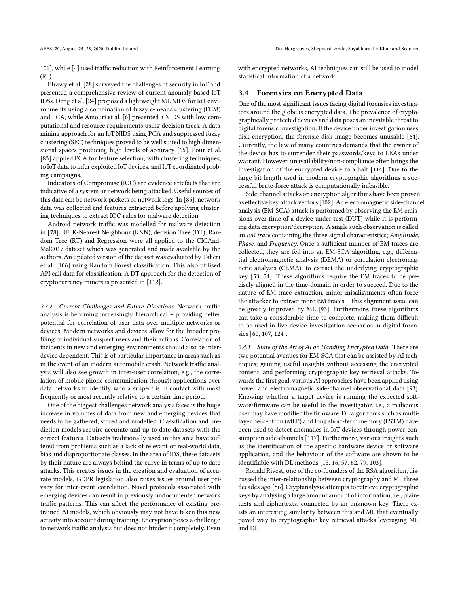[101](#page-9-14)], while [\[4\]](#page-7-5) used traffic reduction with Reinforcement Learning (RL).

Elrawy et al. [\[28\]](#page-8-13) surveyed the challenges of security in IoT and presented a comprehensive review of current anomaly-based IoT IDSs. Deng et al. [\[24\]](#page-8-14) proposed a lightweight ML NIDS for IoT environments using a combination of fuzzy c-means clustering (FCM) and PCA, while Amouri et al. [\[6\]](#page-7-6) presented a NIDS with low computational and resource requirements using decision trees. A data mining approach for an IoT NIDS using PCA and suppressed fuzzy clustering (SFC) techniques proved to be well suited to high dimensional spaces producing high levels of accuracy [\[65\]](#page-8-15). Pour et al. [\[83](#page-9-15)] applied PCA for feature selection, with clustering techniques, to IoT data to infer exploited IoT devices, and IoT coordinated probing campaigns.

Indicators of Compromise (IOC) are evidence artefacts that are indicative of a system or network being attacked. Useful sources of this data can be network packets or network logs. In [\[85\]](#page-9-16), network data was collected and features extracted before applying clustering techniques to extract IOC rules for malware detection.

Android network traffic was modelled for malware detection in [\[78](#page-9-17)]. RF, K-Nearest Neighbour (KNN), decision Tree (DT), Random Tree (RT) and Regression were all applied to the CICAnd-Mal2017 dataset which was generated and made available by the authors. An updated version of the dataset was evaluated by Taheri et al. [\[106\]](#page-9-18) using Random Forest classification. This also utilised API call data for classification. A DT approach for the detection of cryptocurrency miners is presented in [\[112\]](#page-9-19).

3.3.2 Current Challenges and Future Directions. Network traffic analysis is becoming increasingly hierarchical – providing better potential for correlation of user data over multiple networks or devices. Modern networks and devices allow for the broader profiling of individual suspect users and their actions. Correlation of incidents in new and emerging environments should also be interdevice dependent. This is of particular importance in areas such as in the event of an modern automobile crash. Network traffic analysis will also see growth in inter-user correlation, e.g., the correlation of mobile phone communication through applications over data networks to identify who a suspect is in contact with most frequently or most recently relative to a certain time period.

One of the biggest challenges network analysis faces is the huge increase in volumes of data from new and emerging devices that needs to be gathered, stored and modelled. Classification and prediction models require accurate and up to date datasets with the correct features. Datasets traditionally used in this area have suffered from problems such as a lack of relevant or real-world data, bias and disproportionate classes. In the area of IDS, these datasets by their nature are always behind the curve in terms of up to date attacks. This creates issues in the creation and evaluation of accurate models. GDPR legislation also raises issues around user privacy for inter-event correlation. Novel protocols associated with emerging devices can result in previously undocumented network traffic patterns. This can affect the performance of existing pretrained AI models, which obviously may not have taken this new activity into account during training. Encryption poses a challenge to network traffic analysis but does not hinder it completely. Even

with encrypted networks, AI techniques can still be used to model statistical information of a network.

#### 3.4 Forensics on Encrypted Data

One of the most significant issues facing digital forensics investigators around the globe is encrypted data. The prevalence of cryptographically protected devices and data poses an inevitable threat to digital forensic investigation. If the device under investigation uses disk encryption, the forensic disk image becomes unusable [\[64\]](#page-8-16). Currently, the law of many countries demands that the owner of the device has to surrender their passwords/keys to LEAs under warrant. However, unavailability/non-compliance often brings the investigation of the encrypted device to a halt [\[114](#page-9-20)]. Due to the large bit length used in modern cryptographic algorithms a successful brute-force attack is computationally infeasible.

Side-channel attacks on encryption algorithms have been proven as effective key attack vectors [\[102\]](#page-9-21). An electromagnetic side-channel analysis (EM-SCA) attack is performed by observing the EM emissions over time of a device under test (DUT) while it is performing data encryption/decryption. A single such observation is called an EM trace containing the three signal characteristics; Amplitude, Phase, and Frequency. Once a sufficient number of EM traces are collected, they are fed into an EM-SCA algorithm, e.g., differential electromagnetic analysis (DEMA) or correlation electromagnetic analysis (CEMA), to extract the underlying cryptographic key [\[53](#page-8-17), [54\]](#page-8-18). These algorithms require the EM traces to be precisely aligned in the time-domain in order to succeed. Due to the nature of EM trace extraction, minor misalignments often force the attacker to extract more EM traces – this alignment issue can be greatly improved by ML [\[93](#page-9-22)]. Furthermore, these algorithms can take a considerable time to complete, making them difficult to be used in live device investigation scenarios in digital forensics [\[60,](#page-8-19) [107,](#page-9-23) [124](#page-10-3)].

3.4.1 State of the Art of AI on Handling Encrypted Data. There are two potential avenues for EM-SCA that can be assisted by AI techniques; gaining useful insights without accessing the encrypted content, and performing cryptographic key retrieval attacks. Towards the first goal, various AI approaches have been applied using power and electromagnetic side-channel observational data [\[93\]](#page-9-22). Knowing whether a target device is running the expected software/firmware can be useful to the investigator, i.e., a malicious user may have modified the firmware. DL algorithms such as multilayer perceptron (MLP) and long short-term memory (LSTM) have been used to detect anomalies in IoT devices through power consumption side-channels [\[117\]](#page-10-4). Furthermore, various insights such as the identification of the specific hardware device or software application, and the behaviour of the software are shown to be identifiable with DL methods [\[15,](#page-7-7) [16](#page-7-8), [57,](#page-8-20) [62](#page-8-21), [79,](#page-9-24) [103\]](#page-9-25).

Ronald Rivest, one of the co-founders of the RSA algorithm, discussed the inter-relationship between cryptography and ML three decades ago [\[86\]](#page-9-26). Cryptanalysis attempts to retrieve cryptographic keys by analysing a large amount amount of information, i.e., plaintexts and ciphertexts, connected by an unknown key. There exists an interesting similarity between this and ML that eventually paved way to cryptographic key retrieval attacks leveraging ML and DL.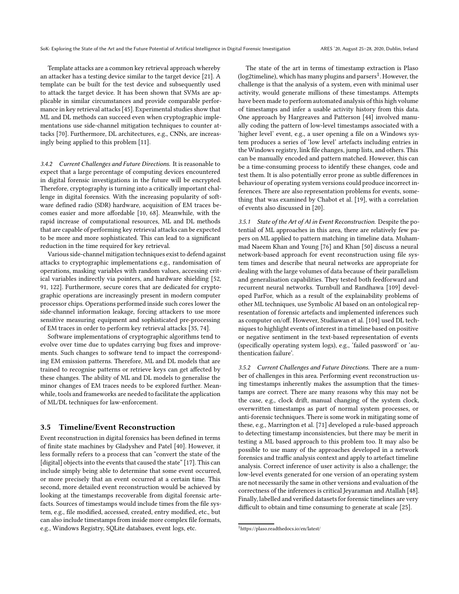Template attacks are a common key retrieval approach whereby an attacker has a testing device similar to the target device [\[21\]](#page-8-22). A template can be built for the test device and subsequently used to attack the target device. It has been shown that SVMs are applicable in similar circumstances and provide comparable performance in key retrieval attacks [\[45\]](#page-8-23). Experimental studies show that ML and DL methods can succeed even when cryptographic implementations use side-channel mitigation techniques to counter attacks [\[70\]](#page-9-27). Furthermore, DL architectures, e.g., CNNs, are increasingly being applied to this problem [\[11\]](#page-7-9).

3.4.2 Current Challenges and Future Directions. It is reasonable to expect that a large percentage of computing devices encountered in digital forensic investigations in the future will be encrypted. Therefore, cryptography is turning into a critically important challenge in digital forensics. With the increasing popularity of software defined radio (SDR) hardware, acquisition of EM traces becomes easier and more affordable [\[10,](#page-7-10) [68](#page-8-24)]. Meanwhile, with the rapid increase of computational resources, ML and DL methods that are capable of performing key retrieval attacks can be expected to be more and more sophisticated. This can lead to a significant reduction in the time required for key retrieval.

Various side-channel mitigation techniques exist to defend against attacks to cryptographic implementations e.g., randomisation of operations, masking variables with random values, accessing critical variables indirectly via pointers, and hardware shielding [\[52](#page-8-25), [91](#page-9-28), [122](#page-10-5)]. Furthermore, secure cores that are dedicated for cryptographic operations are increasingly present in modern computer processor chips. Operations performed inside such cores lower the side-channel information leakage, forcing attackers to use more sensitive measuring equipment and sophisticated pre-processing of EM traces in order to perform key retrieval attacks [\[35,](#page-8-26) [74\]](#page-9-29).

Software implementations of cryptographic algorithms tend to evolve over time due to updates carrying bug fixes and improvements. Such changes to software tend to impact the corresponding EM emission patterns. Therefore, ML and DL models that are trained to recognise patterns or retrieve keys can get affected by these changes. The ability of ML and DL models to generalise the minor changes of EM traces needs to be explored further. Meanwhile, tools and frameworks are needed to facilitate the application of ML/DL techniques for law-enforcement.

#### 3.5 Timeline/Event Reconstruction

Event reconstruction in digital forensics has been defined in terms of finite state machines by Gladyshev and Patel [\[40\]](#page-8-27). However, it less formally refers to a process that can "convert the state of the [digital] objects into the events that caused the state" [\[17\]](#page-7-11). This can include simply being able to determine that some event occurred, or more precisely that an event occurred at a certain time. This second, more detailed event reconstruction would be achieved by looking at the timestamps recoverable from digital forensic artefacts. Sources of timestamps would include times from the file system, e.g., file modified, accessed, created, entry modified, etc., but can also include timestamps from inside more complex file formats, e.g., Windows Registry, SQLite databases, event logs, etc.

The state of the art in terms of timestamp extraction is Plaso (log2timeline), which has many plugins and parsers<sup>[1](#page-4-0)</sup>. However, the challenge is that the analysis of a system, even with minimal user activity, would generate millions of these timestamps. Attempts have been made to perform automated analysis of this high volume of timestamps and infer a usable activity history from this data. One approach by Hargreaves and Patterson [\[44](#page-8-28)] involved manually coding the pattern of low-level timestamps associated with a 'higher level' event, e.g., a user opening a file on a Windows system produces a series of 'low level' artefacts including entries in the Windows registry, link file changes, jump lists, and others. This can be manually encoded and pattern matched. However, this can be a time-consuming process to identify these changes, code and test them. It is also potentially error prone as subtle differences in behaviour of operating system versions could produce incorrect inferences. There are also representation problems for events, something that was examined by Chabot et al. [\[19\]](#page-8-29), with a correlation of events also discussed in [\[20\]](#page-8-30).

3.5.1 State of the Art of AI in Event Reconstruction. Despite the potential of ML approaches in this area, there are relatively few papers on ML applied to pattern matching in timeline data. Muhammad Naeem Khan and Young [\[76](#page-9-30)] and Khan [\[50](#page-8-31)] discuss a neural network-based approach for event reconstruction using file system times and describe that neural networks are appropriate for dealing with the large volumes of data because of their parallelism and generalisation capabilities. They tested both feedforward and recurrent neural networks. Turnbull and Randhawa [\[109](#page-9-31)] developed ParFor, which as a result of the explainability problems of other ML techniques, use Symbolic AI based on an ontological representation of forensic artefacts and implemented inferences such as computer on/off. However, Studiawan et al. [\[104\]](#page-9-32) used DL techniques to highlight events of interest in a timeline based on positive or negative sentiment in the text-based representation of events (specifically operating system logs), e.g., 'failed password' or 'authentication failure'.

3.5.2 Current Challenges and Future Directions. There are a number of challenges in this area. Performing event reconstruction using timestamps inherently makes the assumption that the timestamps are correct. There are many reasons why this may not be the case, e.g., clock drift, manual changing of the system clock, overwritten timestamps as part of normal system processes, or anti-forensic techniques. There is some work in mitigating some of these, e.g., Marrington et al. [\[71](#page-9-33)] developed a rule-based approach to detecting timestamp inconsistencies, but there may be merit in testing a ML based approach to this problem too. It may also be possible to use many of the approaches developed in a network forensics and traffic analysis context and apply to artefact timeline analysis. Correct inference of user activity is also a challenge; the low-level events generated for one version of an operating system are not necessarily the same in other versions and evaluation of the correctness of the inferences is critical Jeyaraman and Atallah [\[48\]](#page-8-32). Finally, labelled and verified datasets for forensic timelines are very difficult to obtain and time consuming to generate at scale [\[25\]](#page-8-33).

<span id="page-4-0"></span><sup>1</sup><https://plaso.readthedocs.io/en/latest/>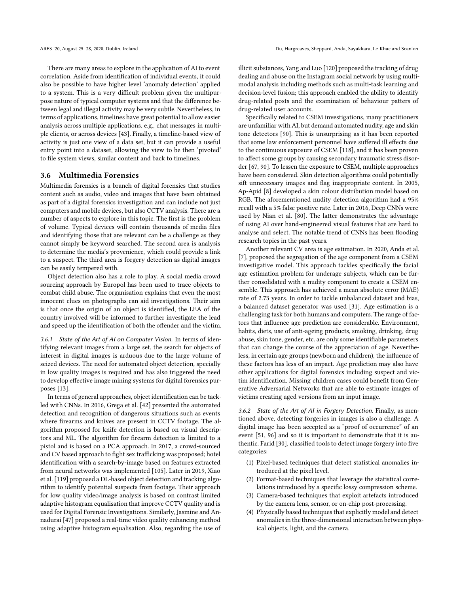There are many areas to explore in the application of AI to event correlation. Aside from identification of individual events, it could also be possible to have higher level 'anomaly detection' applied to a system. This is a very difficult problem given the multipurpose nature of typical computer systems and that the difference between legal and illegal activity may be very subtle. Nevertheless, in terms of applications, timelines have great potential to allow easier analysis across multiple applications, e.g., chat messages in multiple clients, or across devices [\[43\]](#page-8-34). Finally, a timeline-based view of activity is just one view of a data set, but it can provide a useful entry point into a dataset, allowing the view to be then 'pivoted' to file system views, similar content and back to timelines.

#### 3.6 Multimedia Forensics

Multimedia forensics is a branch of digital forensics that studies content such as audio, video and images that have been obtained as part of a digital forensics investigation and can include not just computers and mobile devices, but also CCTV analysis. There are a number of aspects to explore in this topic. The first is the problem of volume. Typical devices will contain thousands of media files and identifying those that are relevant can be a challenge as they cannot simply be keyword searched. The second area is analysis to determine the media's provenience, which could provide a link to a suspect. The third area is forgery detection as digital images can be easily tempered with.

Object detection also has a role to play. A social media crowd sourcing approach by Europol has been used to trace objects to combat child abuse. The organisation explains that even the most innocent clues on photographs can aid investigations. Their aim is that once the origin of an object is identified, the LEA of the country involved will be informed to further investigate the lead and speed up the identification of both the offender and the victim.

3.6.1 State of the Art of AI on Computer Vision. In terms of identifying relevant images from a large set, the search for objects of interest in digital images is arduous due to the large volume of seized devices. The need for automated object detection, specially in low quality images is required and has also triggered the need to develop effective image mining systems for digital forensics purposes [\[13\]](#page-7-12).

In terms of general approaches, object identification can be tackled with CNNs. In 2016, Grega et al. [\[42](#page-8-35)] presented the automated detection and recognition of dangerous situations such as events where firearms and knives are present in CCTV footage. The algorithm proposed for knife detection is based on visual descriptors and ML. The algorithm for firearm detection is limited to a pistol and is based on a PCA approach. In 2017, a crowd-sourced and CV based approach to fight sex trafficking was proposed; hotel identification with a search-by-image based on features extracted from neural networks was implemented [\[105](#page-9-34)]. Later in 2019, Xiao et al. [\[119](#page-10-6)] proposed a DL-based object detection and tracking algorithm to identify potential suspects from footage. Their approach for low quality video/image analysis is based on contrast limited adaptive histogram equalisation that improve CCTV quality and is used for Digital Forensic Investigations. Similarly, Jasmine and Annadurai [\[47](#page-8-36)] proposed a real-time video quality enhancing method using adaptive histogram equalisation. Also, regarding the use of

illicit substances, Yang and Luo [120] proposed the tracking of drug dealing and abuse on the Instagram social network by using multimodal analysis including methods such as multi-task learning and decision-level fusion; this approach enabled the ability to identify drug-related posts and the examination of behaviour patters of drug-related user accounts.

Specifically related to CSEM investigations, many practitioners are unfamiliar with AI, but demand automated nudity, age and skin tone detectors [\[90](#page-9-35)]. This is unsurprising as it has been reported that some law enforcement personnel have suffered ill effects due to the continuous exposure of CSEM [\[118\]](#page-10-7), and it has been proven to affect some groups by causing secondary traumatic stress disorder [\[67,](#page-8-37) [90\]](#page-9-35). To lessen the exposure to CSEM, multiple approaches have been considered. Skin detection algorithms could potentially sift unnecessary images and flag inappropriate content. In 2005, Ap-Apid [\[8](#page-7-13)] developed a skin colour distribution model based on RGB. The aforementioned nudity detection algorithm had a 95% recall with a 5% false positive rate. Later in 2016, Deep CNNs were used by Nian et al. [\[80\]](#page-9-36). The latter demonstrates the advantage of using AI over hand-engineered visual features that are hard to analyse and select. The notable trend of CNNs has been flooding research topics in the past years.

Another relevant CV area is age estimation. In 2020, Anda et al. [\[7](#page-7-14)], proposed the segregation of the age component from a CSEM investigative model. This approach tackles specifically the facial age estimation problem for underage subjects, which can be further consolidated with a nudity component to create a CSEM ensemble. This approach has achieved a mean absolute error (MAE) rate of 2.73 years. In order to tackle unbalanced dataset and bias, a balanced dataset generator was used [\[31](#page-8-38)]. Age estimation is a challenging task for both humans and computers. The range of factors that influence age prediction are considerable. Environment, habits, diets, use of anti-ageing products, smoking, drinking, drug abuse, skin tone, gender, etc. are only some identifiable parameters that can change the course of the appreciation of age. Nevertheless, in certain age groups (newborn and children), the influence of these factors has less of an impact. Age prediction may also have other applications for digital forensics including suspect and victim identification. Missing children cases could benefit from Generative Adversarial Networks that are able to estimate images of victims creating aged versions from an input image.

3.6.2 State of the Art of AI in Forgery Detection. Finally, as mentioned above, detecting forgeries in images is also a challenge. A digital image has been accepted as a "proof of occurrence" of an event [\[51](#page-8-39), [96\]](#page-9-37) and so it is important to demonstrate that it is authentic. Farid [\[30\]](#page-8-40), classified tools to detect image forgery into five categories:

- (1) Pixel-based techniques that detect statistical anomalies introduced at the pixel level.
- (2) Format-based techniques that leverage the statistical correlations introduced by a specific lossy compression scheme.
- (3) Camera-based techniques that exploit artefacts introduced by the camera lens, sensor, or on-chip post-processing.
- (4) Physically based techniques that explicitly model and detect anomalies in the three-dimensional interaction between physical objects, light, and the camera.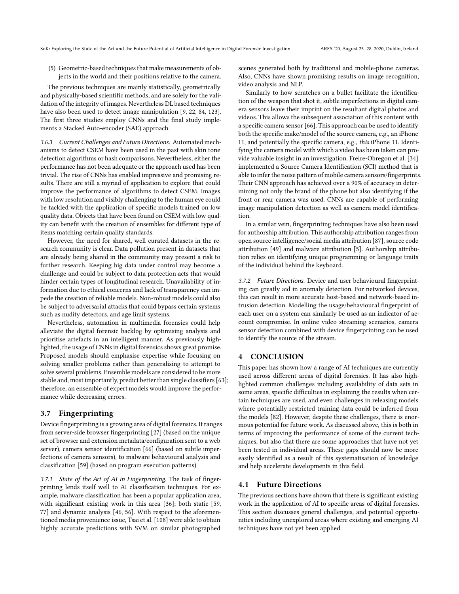(5) Geometric-based techniques that make measurements of objects in the world and their positions relative to the camera.

The previous techniques are mainly statistically, geometrically and physically-based scientific methods, and are solely for the validation of the integrity of images. Nevertheless DL based techniques have also been used to detect image manipulation [\[9,](#page-7-15) [22,](#page-8-41) [84](#page-9-38), [123](#page-10-8)]. The first three studies employ CNNs and the final study implements a Stacked Auto-encoder (SAE) approach.

3.6.3 Current Challenges and Future Directions. Automated mechanisms to detect CSEM have been used in the past with skin tone detection algorithms or hash comparisons. Nevertheless, either the performance has not been adequate or the approach used has been trivial. The rise of CNNs has enabled impressive and promising results. There are still a myriad of application to explore that could improve the performance of algorithms to detect CSEM. Images with low resolution and visibly challenging to the human eye could be tackled with the application of specific models trained on low quality data. Objects that have been found on CSEM with low quality can benefit with the creation of ensembles for different type of items matching certain quality standards.

However, the need for shared, well curated datasets in the research community is clear. Data pollution present in datasets that are already being shared in the community may present a risk to further research. Keeping big data under control may become a challenge and could be subject to data protection acts that would hinder certain types of longitudinal research. Unavailability of information due to ethical concerns and lack of transparency can impede the creation of reliable models. Non-robust models could also be subject to adversarial attacks that could bypass certain systems such as nudity detectors, and age limit systems.

Nevertheless, automation in multimedia forensics could help alleviate the digital forensic backlog by optimising analysis and prioritise artefacts in an intelligent manner. As previously highlighted, the usage of CNNs in digital forensics shows great promise. Proposed models should emphasise expertise while focusing on solving smaller problems rather than generalising to attempt to solve several problems. Ensemble models are considered to be more stable and, most importantly, predict better than single classifiers [\[63\]](#page-8-42); therefore, an ensemble of expert models would improve the performance while decreasing errors.

#### 3.7 Fingerprinting

Device fingerprinting is a growing area of digital forensics. It ranges from server-side browser fingerprinting [\[27\]](#page-8-43) (based on the unique set of browser and extension metadata/configuration sent to a web server), camera sensor identification [\[66](#page-8-44)] (based on subtle imperfections of camera sensors), to malware behavioural analysis and classification [\[59\]](#page-8-45) (based on program execution patterns).

3.7.1 State of the Art of AI in Fingerprinting. The task of fingerprinting lends itself well to AI classification techniques. For example, malware classification has been a popular application area, with significant existing work in this area [\[36](#page-8-46)]; both static [\[59](#page-8-45), [77\]](#page-9-39) and dynamic analysis [\[46](#page-8-47), [56](#page-8-48)]. With respect to the aforementioned media provenience issue, Tsai et al. [\[108](#page-9-40)] were able to obtain highly accurate predictions with SVM on similar photographed

scenes generated both by traditional and mobile-phone cameras. Also, CNNs have shown promising results on image recognition, video analysis and NLP.

Similarly to how scratches on a bullet facilitate the identification of the weapon that shot it, subtle imperfections in digital camera sensors leave their imprint on the resultant digital photos and videos. This allows the subsequent association of this content with a specific camera sensor [\[66\]](#page-8-44). This approach can be used to identify both the specific make/model of the source camera, e.g., an iPhone 11, and potentially the specific camera, e.g., this iPhone 11. Identifying the camera model with which a video has been taken can provide valuable insight in an investigation. Freire-Obregon et al. [\[34\]](#page-8-49) implemented a Source Camera Identification (SCI) method that is able to infer the noise pattern of mobile camera sensors/fingerprints. Their CNN approach has achieved over a 90% of accuracy in determining not only the brand of the phone but also identifying if the front or rear camera was used. CNNs are capable of performing image manipulation detection as well as camera model identification.

In a similar vein, fingerprinting techniques have also been used for authorship attribution. This authorship attribution ranges from open source intelligence/social media attribution [\[87\]](#page-9-41), source code attribution [\[49\]](#page-8-50) and malware attribution [\[5](#page-7-16)]. Authorship attribution relies on identifying unique programming or language traits of the individual behind the keyboard.

3.7.2 Future Directions. Device and user behavioural fingerprinting can greatly aid in anomaly detection. For networked devices, this can result in more accurate host-based and network-based intrusion detection. Modelling the usage/behavioural fingerprint of each user on a system can similarly be used as an indicator of account compromise. In online video streaming scenarios, camera sensor detection combined with device fingerprinting can be used to identify the source of the stream.

## 4 CONCLUSION

This paper has shown how a range of AI techniques are currently used across different areas of digital forensics. It has also highlighted common challenges including availability of data sets in some areas, specific difficulties in explaining the results when certain techniques are used, and even challenges in releasing models where potentially restricted training data could be inferred from the models [\[82](#page-9-42)]. However, despite these challenges, there is enormous potential for future work. As discussed above, this is both in terms of improving the performance of some of the current techniques, but also that there are some approaches that have not yet been tested in individual areas. These gaps should now be more easily identified as a result of this systematisation of knowledge and help accelerate developments in this field.

#### 4.1 Future Directions

The previous sections have shown that there is significant existing work in the application of AI to specific areas of digital forensics. This section discusses general challenges, and potential opportunities including unexplored areas where existing and emerging AI techniques have not yet been applied.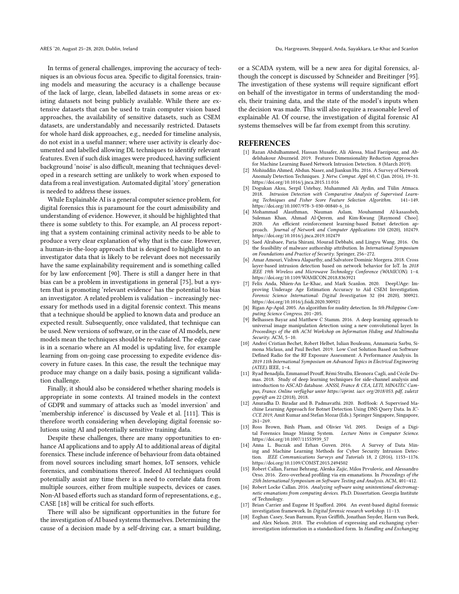In terms of general challenges, improving the accuracy of techniques is an obvious focus area. Specific to digital forensics, training models and measuring the accuracy is a challenge because of the lack of large, clean, labelled datasets in some areas or existing datasets not being publicly available. While there are extensive datasets that can be used to train computer vision based approaches, the availability of sensitive datasets, such as CSEM datasets, are understandably and necessarily restricted. Datasets for whole hard disk approaches, e.g., needed for timeline analysis, do not exist in a useful manner; where user activity is clearly documented and labelled allowing DL techniques to identify relevant features. Even if such disk images were produced, having sufficient background 'noise' is also difficult, meaning that techniques developed in a research setting are unlikely to work when exposed to data from a real investigation. Automated digital 'story' generation is needed to address these issues.

While Explainable AI is a general computer science problem, for digital forensics this is paramount for the court admissibility and understanding of evidence. However, it should be highlighted that there is some subtlety to this. For example, an AI process reporting that a system containing criminal activity needs to be able to produce a very clear explanation of why that is the case. However, a human-in-the-loop approach that is designed to highlight to an investigator data that is likely to be relevant does not necessarily have the same explainability requirement and is something called for by law enforcement [\[90](#page-9-35)]. There is still a danger here in that bias can be a problem in investigations in general [\[75\]](#page-9-43), but a system that is promoting 'relevant evidence' has the potential to bias an investigator. A related problem is validation – increasingly necessary for methods used in a digital forensic context. This means that a technique should be applied to known data and produce an expected result. Subsequently, once validated, that technique can be used. New versions of software, or in the case of AI models, new models mean the techniques should be re-validated. The edge case is in a scenario where an AI model is updating live, for example learning from on-going case processing to expedite evidence discovery in future cases. In this case, the result the technique may produce may change on a daily basis, posing a significant validation challenge.

Finally, it should also be considered whether sharing models is appropriate in some contexts. AI trained models in the context of GDPR and summary of attacks such as 'model inversion' and 'membership inference' is discussed by Veale et al. [\[111](#page-9-44)]. This is therefore worth considering when developing digital forensic solutions using AI and potentially sensitive training data.

Despite these challenges, there are many opportunities to enhance AI applications and to apply AI to additional areas of digital forensics. These include inference of behaviour from data obtained from novel sources including smart homes, IoT sensors, vehicle forensics, and combinations thereof. Indeed AI techniques could potentially assist any time there is a need to correlate data from multiple sources, either from multiple suspects, devices or cases. Non-AI based efforts such as standard form of representations, e.g., CASE [\[18\]](#page-7-17) will be critical for such efforts.

There will also be significant opportunities in the future for the investigation of AI based systems themselves. Determining the cause of a decision made by a self-driving car, a smart building,

or a SCADA system, will be a new area for digital forensics, although the concept is discussed by Schneider and Breitinger [\[95\]](#page-9-45). The investigation of these systems will require significant effort on behalf of the investigator in terms of understanding the models, their training data, and the state of the model's inputs when the decision was made. This will also require a reasonable level of explainable AI. Of course, the investigation of digital forensic AI systems themselves will be far from exempt from this scrutiny.

#### **REFERENCES**

- <span id="page-7-3"></span>[1] Razan Abdulhammed, Hassan Musafer, Ali Alessa, Miad Faezipour, and Abdelshakour Abuzneid. 2019. Features Dimensionality Reduction Approaches for Machine Learning Based Network Intrusion Detection. 8 (March 2019).
- <span id="page-7-1"></span>[2] Mohiuddin Ahmed, Abdun. Naser, and Jiankun Hu. 2016. A Survey of Network Anomaly Detection Techniques. J. Netw. Comput. Appl. 60, C (Jan. 2016), 19-31. <https://doi.org/10.1016/j.jnca.2015.11.016>
- <span id="page-7-2"></span>[3] Dogukan Aksu, Serpil Ustebay, Muhammed Ali Aydin, and Tülin Atmaca. 2018. Intrusion Detection with Comparative Analysis of Supervised Learning Techniques and Fisher Score Feature Selection Algorithm. 141–149. [https://doi.org/10.1007/978-3-030-00840-6\\_16](https://doi.org/10.1007/978-3-030-00840-6_16)
- <span id="page-7-5"></span>[4] Mohammad Alauthman, Nauman Aslam, Mouhammd Al-kasassbeh, Suleman Khan, Ahmad Al-Qerem, and Kim-Kwang [Raymond Choo]. An efficient reinforcement learning-based Botnet detection approach. Journal of Network and Computer Applications 150 (2020), 102479. <https://doi.org/10.1016/j.jnca.2019.102479>
- <span id="page-7-16"></span>[5] Saed Alrabaee, Paria Shirani, Mourad Debbabi, and Lingyu Wang. 2016. On the feasibility of malware authorship attribution. In International Symposium on Foundations and Practice of Security. Springer, 256–272.
- <span id="page-7-6"></span>[6] Amar Amouri, Vishwa Alaparthy, and Salvatore Dominic Morgera. 2018. Cross layer-based intrusion detection based on network behavior for IoT. In 2018 IEEE 19th Wireless and Microwave Technology Conference (WAMICON). 1–4. <https://doi.org/10.1109/WAMICON.2018.8363921>
- <span id="page-7-14"></span>[7] Felix Anda, Nhien-An Le-Khac, and Mark Scanlon. 2020. DeepUAge: Improving Underage Age Estimation Accuracy to Aid CSEM Investigation. Forensic Science International: Digital Investigation 32 (04 2020), 300921. <https://doi.org/10.1016/j.fsidi.2020.300921>
- <span id="page-7-13"></span>[8] Rigan Ap-Apid. 2005. An algorithm for nudity detection. In 5th Philippine Com-
- <span id="page-7-15"></span>puting Science Congress. 201–205. [9] Belhassen Bayar and Matthew C Stamm. 2016. A deep learning approach to universal image manipulation detection using a new convolutional layer. In Proceedings of the 4th ACM Workshop on Information Hiding and Multimedia Security. ACM, 5–10.
- <span id="page-7-10"></span>[10] Andrei Cristian Bechet, Robert Helbet, Iulian Bouleanu, Annamaria Sarbu, Simona Miclaus, and Paul Bechet. 2019. Low Cost Solution Based on Software Defined Radio for the RF Exposure Assessment: A Performance Analysis. In 2019 11th International Symposium on Advanced Topics in Electrical Engineering (ATEE). IEEE, 1–4.
- <span id="page-7-9"></span>[11] Ryad Benadjila, Emmanuel Prouff, Rémi Strullu, Eleonora Cagli, and Cécile Dumas. 2018. Study of deep learning techniques for side-channel analysis and introduction to ASCAD database. ANSSI, France & CEA, LETI, MINATEC Campus, France. Online verfügbar unter https://eprint. iacr. org/2018/053. pdf, zuletzt geprüft am 22 (2018), 2018.
- <span id="page-7-4"></span>[12] Anuradha D. Biradar and B. Padmavathi. 2020. BotHook: A Supervised Machine Learning Approach for Botnet Detection Using DNS Query Data. In IC-CCE 2019, Amit Kumar and Stefan Mozar (Eds.). Springer Singapore, Singapore, 261–269.
- <span id="page-7-12"></span>[13] Ross Brown, Binh Pham, and Olivier Vel. 2005. Design of a Digital Forensics Image Mining System. Lecture Notes in Computer Science. [https://doi.org/10.1007/11553939\\_57](https://doi.org/10.1007/11553939_57)
- <span id="page-7-0"></span>[14] Anna L. Buczak and Erhan Guven. 2016. A Survey of Data Mining and Machine Learning Methods for Cyber Security Intrusion Detection. IEEE Communications Surveys and Tutorials 18, 2 (2016), 1153–1176. <https://doi.org/10.1109/COMST.2015.2494502>
- <span id="page-7-7"></span>[15] Robert Callan, Farnaz Behrang, Alenka Zajic, Milos Prvulovic, and Alessandro Orso. 2016. Zero-overhead profiling via em emanations. In Proceedings of the 25th International Symposium on Software Testing and Analysis. ACM, 401–412.
- <span id="page-7-8"></span>[16] Robert Locke Callan. 2016. Analyzing software using unintentional electromagnetic emanations from computing devices. Ph.D. Dissertation. Georgia Institute of Technology.
- <span id="page-7-11"></span>[17] Brian Carrier and Eugene H Spafford. 2004. An event-based digital forensic investigation framework. In Digital forensic research workshop. 11–13.
- <span id="page-7-17"></span>[18] Eoghan Casey, Sean Barnum, Ryan Griffith, Jonathan Snyder, Harm van Beek, and Alex Nelson. 2018. The evolution of expressing and exchanging cyberinvestigation information in a standardized form. In Handling and Exchanging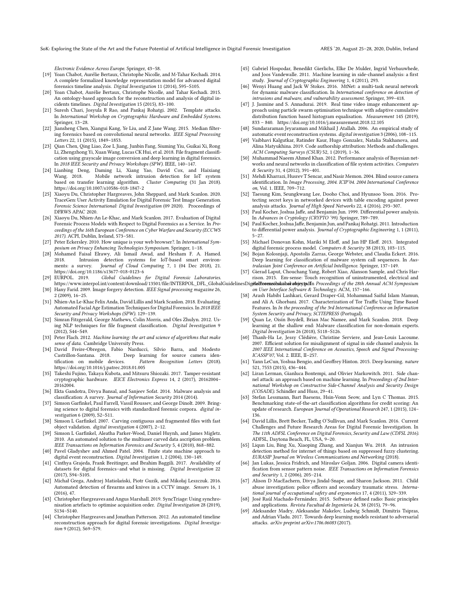SoK: Exploring the State of the Art and the Future Potential of Artificial Intelligence in Digital Forensic Investigation ARES '20, August 25–28, 2020, Dublin, Ireland

Electronic Evidence Across Europe. Springer, 43–58.

- <span id="page-8-29"></span>[19] Yoan Chabot, Aurélie Bertaux, Christophe Nicolle, and M-Tahar Kechadi. 2014. A complete formalized knowledge representation model for advanced digital forensics timeline analysis. Digital Investigation 11 (2014), S95–S105.
- <span id="page-8-30"></span>[20] Yoan Chabot, Aurélie Bertaux, Christophe Nicolle, and Tahar Kechadi. 2015. An ontology-based approach for the reconstruction and analysis of digital incidents timelines. Digital Investigation 15 (2015), 83–100.
- <span id="page-8-22"></span>[21] Suresh Chari, Josyula R Rao, and Pankaj Rohatgi. 2002. Template attacks. In International Workshop on Cryptographic Hardware and Embedded Systems. Springer, 13–28.
- <span id="page-8-41"></span>[22] Jiansheng Chen, Xiangui Kang, Ye Liu, and Z Jane Wang. 2015. Median filtering forensics based on convolutional neural networks. IEEE Signal Processing Letters 22, 11 (2015), 1849–1853.
- <span id="page-8-3"></span>[23] Qian Chen, Qing Liao, Zoe L Jiang, Junbin Fang, Siuming Yiu, Guikai Xi, Rong Li, Zhengzhong Yi, Xuan Wang, Lucas CK Hui, et al. 2018. File fragment classification using grayscale image conversion and deep learning in digital forensics. In 2018 IEEE Security and Privacy Workshops (SPW). IEEE, 140–147.
- <span id="page-8-14"></span>[24] Lianbing Deng, Daming Li, Xiang Yao, David Cox, and Haixiang Mobile network intrusion detection for IoT system based on transfer learning algorithm. Cluster Computing (31 Jan 2018). <https://doi.org/10.1007/s10586-018-1847-2>
- <span id="page-8-33"></span>[25] Xiaoyu Du, Christopher Hargreaves, John Sheppard, and Mark Scanlon. 2020. TraceGen: User Activity Emulation for Digital Forensic Test Image Generation. Forensic Science International: Digital Investigation (09 2020). Proceedings of DFRWS APAC 2020.
- <span id="page-8-0"></span>[26] Xiaoyu Du, Nhien-An Le-Khac, and Mark Scanlon. 2017. Evaluation of Digital Forensic Process Models with Respect to Digital Forensics as a Service. In Proceedings of the 16th European Conference on Cyber Warfare and Security (ECCWS 2017). ACPI, Dublin, Ireland, 573–581.
- <span id="page-8-43"></span>[27] Peter Eckersley. 2010. How unique is your web browser?. In International Symposium on Privacy Enhancing Technologies Symposium. Springer, 1–18.
- <span id="page-8-13"></span>[28] Mohamed Faisal Elrawy, Ali Ismail Awad, and Hesham F. A. Hamed. 2018. Intrusion detection systems for IoT-based smart environments: a survey. Journal of Cloud Computing 7, 1 (04 Dec 2018), 21. <https://doi.org/10.1186/s13677-018-0123-6>
- <span id="page-8-1"></span>[29] EURPOL. 2019. Global Guidelines for Digital Forensic Laboratories. https://www.interpol.int/content/download/13501/file/INTERPOL\_DFL\_GlobalGuidelinesDig**etalftoonsickEuibaratojextpdfn** Proceedings of the 28th Annual ACM Symposium
- <span id="page-8-40"></span>[30] Hany Farid. 2009. Image forgery detection. IEEE Signal processing magazine 26, 2 (2009), 16–25.
- <span id="page-8-38"></span>[31] Nhien-An Le-Khac Felix Anda, David Lillis and Mark Scanlon. 2018. Evaluating Automated Facial Age Estimation Techniques for Digital Forensics. In 2018 IEEE Security and Privacy Workshops (SPW). 129–139.
- <span id="page-8-8"></span>[32] Simran Fitzgerald, George Mathews, Colin Morris, and Oles Zhulyn. 2012. Using NLP techniques for file fragment classification. Digital Investigation 9 (2012), S44–S49.
- <span id="page-8-4"></span>[33] Peter Flach. 2012. Machine learning: the art and science of algorithms that make sense of data. Cambridge University Press.
- <span id="page-8-49"></span>[34] David Freire-Obregon, Fabio Narducci, Silvio Barra, and Modesto Castrillon-Santana. 2018. Deep learning for source camera identification on mobile devices. Pattern Recognition Letters (2018). <https://doi.org/10.1016/j.patrec.2018.01.005>
- <span id="page-8-26"></span>[35] Takeshi Fujino, Takaya Kubota, and Mitsuru Shiozaki. 2017. Tamper-resistant cryptographic hardware. IEICE Electronics Express 14, 2 (2017), 20162004– 20162004.
- <span id="page-8-46"></span>[36] Ekta Gandotra, Divya Bansal, and Sanjeev Sofat. 2014. Malware analysis and classification: A survey. Journal of Information Security 2014 (2014).
- <span id="page-8-10"></span>[37] Simson Garfinkel, Paul Farrell, Vassil Roussev, and George Dinolt. 2009. Bringing science to digital forensics with standardized forensic corpora. digital investigation 6 (2009), S2–S11.
- <span id="page-8-7"></span>[38] Simson L Garfinkel. 2007. Carving contiguous and fragmented files with fast object validation. digital investigation 4 (2007), 2–12.
- <span id="page-8-9"></span>[39] Simson L Garfinkel, Aleatha Parker-Wood, Daniel Huynh, and James Migletz. 2010. An automated solution to the multiuser carved data ascription problem. IEEE Transactions on Information Forensics and Security 5, 4 (2010), 868–882.
- <span id="page-8-27"></span>[40] Pavel Gladyshev and Ahmed Patel. 2004. Finite state machine approach to digital event reconstruction. Digital Investigation 1, 2 (2004), 130–149.
- <span id="page-8-2"></span>[41] Cinthya Grajeda, Frank Breitinger, and Ibrahim Baggili. 2017. Availability of datasets for digital forensics–and what is missing. Digital Investigation 22 (2017), S94–S105.
- <span id="page-8-35"></span>[42] Michał Grega, Andrzej Matiolański, Piotr Guzik, and Mikołaj Leszczuk. 2016. Automated detection of firearms and knives in a CCTV image. Sensors 16, 1 (2016), 47.
- <span id="page-8-34"></span>[43] Christopher Hargreaves and Angus Marshall. 2019. SyncTriage: Using synchronisation artefacts to optimise acquisition order. Digital Investigation 28 (2019), S134–S140.
- <span id="page-8-28"></span>[44] Christopher Hargreaves and Jonathan Patterson. 2012. An automated timeline reconstruction approach for digital forensic investigations. Digital Investigation 9 (2012), S69–S79.
- <span id="page-8-23"></span>[45] Gabriel Hospodar, Benedikt Gierlichs, Elke De Mulder, Ingrid Verbauwhede, and Joos Vandewalle. 2011. Machine learning in side-channel analysis: a first study. Journal of Cryptographic Engineering 1, 4 (2011), 293.
- <span id="page-8-47"></span>[46] Wenyi Huang and Jack W Stokes. 2016. MtNet: a multi-task neural network for dynamic malware classification. In International conference on detection of intrusions and malware, and vulnerability assessment. Springer, 399–418.
- <span id="page-8-36"></span>[47] J. Jasmine and S. Annadurai. 2019. Real time video image enhancement approach using particle swarm optimisation technique with adaptive cumulative distribution function based histogram equalisation. Measurement 145 (2019), 833 – 840.<https://doi.org/10.1016/j.measurement.2018.12.105>
- <span id="page-8-32"></span>[48] Sundararaman Jeyaraman and Mikhail J Atallah. 2006. An empirical study of automatic event reconstruction systems. digital investigation 3 (2006), 108–115.
- <span id="page-8-50"></span>[49] Vaibhavi Kalgutkar, Ratinder Kaur, Hugo Gonzalez, Natalia Stakhanova, and Alina Matyukhina. 2019. Code authorship attribution: Methods and challenges. ACM Computing Surveys (CSUR) 52, 1 (2019), 1–36.
- <span id="page-8-31"></span>[50] Muhammad Naeem Ahmed Khan. 2012. Performance analysis of Bayesian networks and neural networks in classification of file system activities. Computers & Security 31, 4 (2012), 391–401.
- <span id="page-8-39"></span>[51] Mehdi Kharrazi, Husrev T Sencar, and Nasir Memon. 2004. Blind source camera identification. In Image Processing, 2004. ICIP'04. 2004 International Conference on, Vol. 1. IEEE, 709–712.
- <span id="page-8-25"></span>[52] Taesung Kim, Seungkwang Lee, Dooho Choi, and Hyunsoo Yoon. 2016. Protecting secret keys in networked devices with table encoding against power analysis attacks. Journal of High Speed Networks 22, 4 (2016), 293–307.
- <span id="page-8-17"></span>[53] Paul Kocher, Joshua Jaffe, and Benjamin Jun. 1999. Differential power analysis. In Advances in Cryptology (CRYPTO '99). Springer, 789–789.
- <span id="page-8-18"></span>[54] Paul Kocher, Joshua Jaffe, Benjamin Jun, and Pankaj Rohatgi. 2011. Introduction to differential power analysis. Journal of Cryptographic Engineering 1, 1 (2011), 5–27.
- <span id="page-8-6"></span>[55] Michael Donovan Kohn, Mariki M Eloff, and Jan HP Eloff. 2013. Integrated digital forensic process model. Computers & Security 38 (2013), 103–115.
- <span id="page-8-48"></span>[56] Bojan Kolosnjaji, Apostolis Zarras, George Webster, and Claudia Eckert. 2016. Deep learning for classification of malware system call sequences. In Australasian Joint Conference on Artificial Intelligence. Springer, 137–149.
- <span id="page-8-20"></span>[57] Gierad Laput, Chouchang Yang, Robert Xiao, Alanson Sample, and Chris Harrison. 2015. Em-sense: Touch recognition of uninstrumented, electrical and
- on User Interface Software & Technology. ACM, 157–166.
- <span id="page-8-12"></span>[58] Arash Habibi Lashkari, Gerard Draper-Gil, Mohammad Saiful Islam Mamun, and Ali A. Ghorbani. 2017. Characterization of Tor Traffic Using Time Based Features. In In the proceeding of the 3rd International Conference on Information System Security and Privacy, SCITEPRESS (Portugal).
- <span id="page-8-45"></span>[59] Quan Le, Oisín Boydell, Brian Mac Namee, and Mark Scanlon. 2018. Deep learning at the shallow end: Malware classification for non-domain experts. Digital Investigation 26 (2018), S118–S126.
- <span id="page-8-19"></span>[60] Thanh-Ha Le, Jessy Clédière, Christine Serviere, and Jean-Louis Lacoume. 2007. Efficient solution for misalignment of signal in side channel analysis. In 2007 IEEE International Conference on Acoustics, Speech and Signal Processing-ICASSP'07, Vol. 2. IEEE, II–257.
- <span id="page-8-5"></span>[61] Yann LeCun, Yoshua Bengio, and Geoffrey Hinton. 2015. Deep learning. nature 521, 7553 (2015), 436–444.
- <span id="page-8-21"></span>[62] Liran Lerman, Gianluca Bontempi, and Olivier Markowitch. 2011. Side channel attack: an approach based on machine learning. In Proceedings of 2nd International Workshop on Constructive Side-Channel Analysis and Security Design (COSADE). Schindler and Huss, 29–41.
- <span id="page-8-42"></span>[63] Stefan Lessmann, Bart Baesens, Hsin-Vonn Seow, and Lyn C Thomas. 2015. Benchmarking state-of-the-art classification algorithms for credit scoring: An update of research. European Journal of Operational Research 247, 1 (2015), 124– 136.
- <span id="page-8-16"></span>[64] David Lillis, Brett Becker, Tadhg O'Sullivan, and Mark Scanlon. 2016. Current Challenges and Future Research Areas for Digital Forensic Investigation. In The 11th ADFSL Conference on Digital Forensics, Security and Law (CDFSL 2016). ADFSL, Daytona Beach, FL, USA, 9–20.
- <span id="page-8-15"></span>[65] Liqun Liu, Bing Xu, Xiaoping Zhang, and Xianjun Wu. 2018. An intrusion detection method for internet of things based on suppressed fuzzy clustering. EURASIP Journal on Wireless Communications and Networking (2018).
- <span id="page-8-44"></span>[66] Jan Lukas, Jessica Fridrich, and Miroslav Goljan. 2006. Digital camera identification from sensor pattern noise. IEEE Transactions on Information Forensics and Security 1, 2 (2006), 205–214.
- <span id="page-8-37"></span>[67] Alison D MacEachern, Divya Jindal-Snape, and Sharon Jackson. 2011. Child abuse investigation: police officers and secondary traumatic stress. International journal of occupational safety and ergonomics 17, 4 (2011), 329–339.
- <span id="page-8-24"></span>[68] José Raúl Machado-Fernández. 2015. Software defined radio: Basic principles and applications. Revista Facultad de Ingeniería 24, 38 (2015), 79–96.
- <span id="page-8-11"></span>[69] Aleksander Madry, Aleksandar Makelov, Ludwig Schmidt, Dimitris Tsipras, and Adrian Vladu. 2017. Towards deep learning models resistant to adversarial attacks. arXiv preprint arXiv:1706.06083 (2017).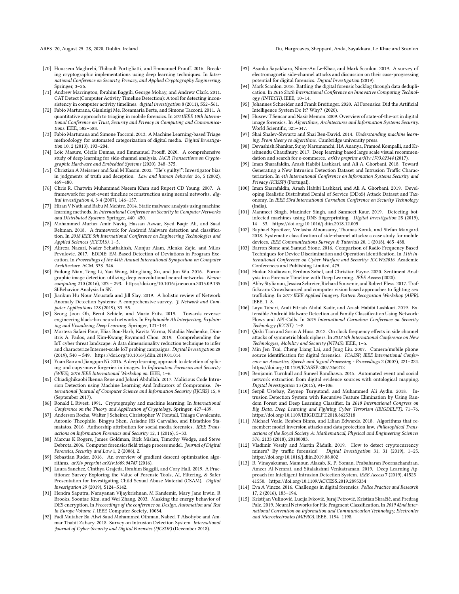ARES '20, August 25–28, 2020, Dublin, Ireland Du, Hargreaves, Sheppard, Anda, Sayakkara, Le-Khac and Scanlon

- <span id="page-9-27"></span>[70] Houssem Maghrebi, Thibault Portigliatti, and Emmanuel Prouff. 2016. Breaking cryptographic implementations using deep learning techniques. In International Conference on Security, Privacy, and Applied Cryptography Engineering. Springer, 3–26.
- <span id="page-9-33"></span>[71] Andrew Marrington, Ibrahim Baggili, George Mohay, and Andrew Clark. 2011. CAT Detect (Computer Activity Timeline Detection): A tool for detecting inconsistency in computer activity timelines. digital investigation 8 (2011), S52–S61.
- <span id="page-9-1"></span>[72] Fabio Marturana, Gianluigi Me, Rosamaria Berte, and Simone Tacconi. 2011. A quantitative approach to triaging in mobile forensics. In 2011IEEE 10th International Conference on Trust, Security and Privacy in Computing and Communications. IEEE, 582–588.
- <span id="page-9-2"></span>[73] Fabio Marturana and Simone Tacconi. 2013. A Machine Learning-based Triage methodology for automated categorization of digital media. Digital Investigation 10, 2 (2013), 193–204.
- <span id="page-9-29"></span>[74] Loïc Masure, Cécile Dumas, and Emmanuel Prouff. 2020. A comprehensive study of deep learning for side-channel analysis. IACR Transactions on Cryptographic Hardware and Embedded Systems (2020), 348–375.
- <span id="page-9-43"></span>[75] Christian A Meissner and Saul M Kassin. 2002. "He's guilty!": Investigator bias in judgments of truth and deception. Law and human behavior 26, 5 (2002), 469–480.
- <span id="page-9-30"></span>[76] Chris R. Chatwin Muhammad Naeem Khan and Rupert CD Young. 2007. A framework for post-event timeline reconstruction using neural networks. digital investigation 4, 3-4 (2007), 146–157.
- <span id="page-9-39"></span>[77] Hiran V Nath and Babu M Mehtre. 2014. Static malware analysis using machine learning methods. In International Conference on Security in Computer Networks and Distributed Systems. Springer, 440–450.
- <span id="page-9-17"></span>[78] Mohammed Murtaz Amir Naviq, Hassan Azwar, Syed Baqir Ali, and Saad Rehman. 2018. A framework for Android Malware detection and classification. In 2018 IEEE 5th International Conference on Engineering Technologies and Applied Sciences (ICETAS). 1–5.
- <span id="page-9-24"></span>[79] Alireza Nazari, Nader Sehatbakhsh, Monjur Alam, Alenka Zajic, and Milos Prvulovic. 2017. EDDIE: EM-Based Detection of Deviations in Program Execution. In Proceedings of the 44th Annual International Symposium on Computer Architecture. ACM, 333–346.
- <span id="page-9-36"></span>[80] Fudong Nian, Teng Li, Yan Wang, Mingliang Xu, and Jun Wu. 2016. Pornographic image detection utilizing deep convolutional neural networks. *Neuro-*<br>computing 210 (2016), 283 – 293.<https://doi.org/10.1016/j.neucom.2015.09.135> SI:Behavior Analysis In SN.
- <span id="page-9-3"></span>[81] Jiankun Hu Nour Moustafa and Jill Slay. 2019. A holistic review of Network Anomaly Detection Systems: A comprehensive survey. J. Network and Computer Applications 128 (2019), 33–55.
- <span id="page-9-42"></span>[82] Seong Joon Oh, Bernt Schiele, and Mario Fritz. 2019. Towards reverseengineering black-box neural networks. In Explainable AI: Interpreting, Explaining and Visualizing Deep Learning. Springer, 121–144.
- <span id="page-9-15"></span>[83] Morteza Safaei Pour, Elias Bou-Harb, Kavita Varma, Nataliia Neshenko, Dimitris A. Pados, and Kim-Kwang Raymond Choo. 2019. Comprehending the IoT cyber threat landscape: A data dimensionality reduction technique to infer and characterize Internet-scale IoT probing campaigns. Digital Investigation 28 (2019), S40 – S49.<https://doi.org/10.1016/j.diin.2019.01.014>
- <span id="page-9-38"></span>[84] Yuan Rao and Jiangqun Ni. 2016. A deep learning approach to detection of splicing and copy-move forgeries in images. In Information Forensics and Security (WIFS), 2016 IEEE International Workshop on. IEEE, 1–6.
- <span id="page-9-16"></span>[85] Chiadighikaobi Ikenna Rene and Johari Abdullah. 2017. Malicious Code Intrusion Detection using Machine Learning And Indicators of Compromise. International Journal of Computer Science and Information Security (IJCSIS) 15, 9 (September 2017).
- <span id="page-9-26"></span>[86] Ronald L Rivest. 1991. Cryptography and machine learning. In International Conference on the Theory and Application of Cryptology. Springer, 427–439.
- <span id="page-9-41"></span>[87] Anderson Rocha, Walter J Scheirer, Christopher W Forstall, Thiago Cavalcante, Antonio Theophilo, Bingyu Shen, Ariadne RB Carvalho, and Efstathios Stamatatos. 2016. Authorship attribution for social media forensics. IEEE Transactions on Information Forensics and Security 12, 1 (2016), 5–33.
- <span id="page-9-7"></span>[88] Marcus K Rogers, James Goldman, Rick Mislan, Timothy Wedge, and Steve Debrota. 2006. Computer forensics field triage process model. Journal of Digital Forensics, Security and Law 1, 2 (2006), 2.
- <span id="page-9-5"></span>[89] Sebastian Ruder. 2016. An overview of gradient descent optimization algorithms. arXiv preprint arXiv:1609.04747 (2016).
- <span id="page-9-35"></span>[90] Laura Sanchez, Cinthya Grajeda, Ibrahim Baggili, and Cory Hall. 2019. A Practitioner Survey Exploring the Value of Forensic Tools, AI, Filtering, & Safer Presentation for Investigating Child Sexual Abuse Material (CSAM). Digital Investigation 29 (2019), S124–S142.
- <span id="page-9-28"></span>[91] Hendra Saputra, Narayanan Vijaykrishnan, M Kandemir, Mary Jane Irwin, R Brooks, Soontae Kim, and Wei Zhang. 2003. Masking the energy behavior of DES encryption. In Proceedings of the conference on Design, Automation and Test in Europe-Volume 1. IEEE Computer Society, 10084.
- <span id="page-9-9"></span>[92] Fadl Mutaher Ba-Alwi Saud Mohammed Othman, Nabeel T Alsohybe and Ammar Thabit Zahary. 2018. Survey on Intrusion Detection System. International Journal of Cyber-Security and Digital Forensics (IJCSDF) (December 2018).
- <span id="page-9-22"></span>[93] Asanka Sayakkara, Nhien-An Le-Khac, and Mark Scanlon. 2019. A survey of electromagnetic side-channel attacks and discussion on their case-progressing potential for digital forensics. Digital Investigation (2019).
- <span id="page-9-8"></span>[94] Mark Scanlon. 2016. Battling the digital forensic backlog through data deduplication. In 2016 Sixth International Conference on Innovative Computing Technology (INTECH). IEEE, 10–14.
- <span id="page-9-45"></span>[95] Johannes Schneider and Frank Breitinger. 2020. AI Forensics: Did the Artificial Intelligence System Do It? Why? (2020).
- <span id="page-9-37"></span>[96] Husrev T Sencar and Nasir Memon. 2009. Overview of state-of-the-art in digital image forensics. In Algorithms, Architectures and Information Systems Security. World Scientific, 325–347.
- <span id="page-9-4"></span>[97] Shai Shalev-Shwartz and Shai Ben-David. 2014. Understanding machine learning: From theory to algorithms. Cambridge university press.
- <span id="page-9-6"></span>[98] Devashish Shankar, Sujay Narumanchi, HA Ananya, Pramod Kompalli, and Krishnendu Chaudhury. 2017. Deep learning based large scale visual recommendation and search for e-commerce. arXiv preprint arXiv:1703.02344 (2017).
- <span id="page-9-10"></span>[99] Iman Sharafaldin, Arash Habibi Lashkari, and Ali A. Ghorbani. 2018. Toward Generating a New Intrusion Detection Dataset and Intrusion Traffic Characterization. In 4th International Conference on Information Systems Security and Privacy (ICISSP) (Portugal).
- <span id="page-9-11"></span>[100] Iman Sharafaldin, Arash Habibi Lashkari, and Ali A. Ghorbani. 2019. Developing Realistic Distributed Denial of Service (DDoS) Attack Dataset and Taxonomy. In IEEE 53rd International Carnahan Conference on Security Technology (India).
- <span id="page-9-14"></span>[101] Manmeet Singh, Maninder Singh, and Sanmeet Kaur. 2019. Detecting botinfected machines using DNS fingerprinting. Digital Investigation 28 (2019), 14 – 33.<https://doi.org/10.1016/j.diin.2018.12.005>
- <span id="page-9-21"></span>[102] Raphael Spreitzer, Veelasha Moonsamy, Thomas Korak, and Stefan Mangard. 2018. Systematic classification of side-channel attacks: a case study for mobile devices. IEEE Communications Surveys & Tutorials 20, 1 (2018), 465–488.
- <span id="page-9-25"></span>[103] Barron Stone and Samuel Stone. 2016. Comparison of Radio Frequency Based Techniques for Device Discrimination and Operation Identification. In 11th International Conference on Cyber Warfare and Security: ICCWS2016. Academic Conferences and Publishing Limited, 475.
- <span id="page-9-32"></span>[104] Hudan Studiawan, Ferdous Sohel, and Christian Payne, 2020. Sentiment Analysis in a Forensic Timeline with Deep Learning. IEEE Access (2020).
- <span id="page-9-34"></span>[105] Abby Stylianou, Jessica Schreier, Richard Souvenir, and Robert Pless. 2017. Traffickcam: Crowdsourced and computer vision based approaches to fighting sex trafficking. In 2017 IEEE Applied Imagery Pattern Recognition Workshop (AIPR). IEEE, 1–8.
- <span id="page-9-18"></span>[106] Laya Taheri, Andi Fitriah Abdul Kadir, and Arash Habibi Lashkari. 2019. Extensible Android Malware Detection and Family Classification Using Network-Flows and API-Calls. In 2019 International Carnahan Conference on Security Technology (ICCST). 1–8.
- <span id="page-9-23"></span>[107] Qizhi Tian and Sorin A Huss. 2012. On clock frequency effects in side channel attacks of symmetric block ciphers. In 2012 5th International Conference on New Technologies, Mobility and Security (NTMS). IEEE, 1–5.
- <span id="page-9-40"></span>[108] Min Jen Tsai, Cheng Liang Lai, and Jung Liu. 2007. Camera/mobile phone source identification for digital forensics. ICASSP, IEEE International Conference on Acoustics, Speech and Signal Processing - Proceedings 2 (2007), 221–224. <https://doi.org/10.1109/ICASSP.2007.366212>
- <span id="page-9-31"></span>[109] Benjamin Turnbull and Suneel Randhawa. 2015. Automated event and social network extraction from digital evidence sources with ontological mapping. Digital Investigation 13 (2015), 94–106.
- <span id="page-9-12"></span>[110] Serpil Ustebay, Zeynep Turgutand, and Muhammed Ali Aydin. 2018. Intrusion Detection System with Recursive Feature Elimination by Using Random Forest and Deep Learning Classifier. In 2018 International Congress on Big Data, Deep Learning and Fighting Cyber Terrorism (IBIGDELFT). 71–76. <https://doi.org/10.1109/IBIGDELFT.2018.8625318>
- <span id="page-9-44"></span>[111] Michael Veale, Reuben Binns, and Lilian Edwards. 2018. Algorithms that remember: model inversion attacks and data protection law. Philosophical Transactions of the Royal Society A: Mathematical, Physical and Engineering Sciences 376, 2133 (2018), 20180083.
- <span id="page-9-19"></span>[112] Vladimír Veselý and Martin Žádník. 2019. How to detect cryptocurrency miners? By traffic forensics! Digital Investigation 31, 31 (2019), 1–25. <https://doi.org/10.1016/j.diin.2019.08.002>
- <span id="page-9-13"></span>[113] R. Vinayakumar, Mamoun Alazab, K. P. Soman, Prabaharan Poornachandran, Ameer Al-Nemrat, and Sitalakshmi Venkatraman. 2019. Deep Learning Approach for Intelligent Intrusion Detection System. IEEE Access 7 (2019), 41525– 41550.<https://doi.org/10.1109/ACCESS.2019.2895334>
- <span id="page-9-20"></span>[114] Eva A Vincze. 2016. Challenges in digital forensics. Police Practice and Research 17, 2 (2016), 183–194.
- <span id="page-9-0"></span>[115] Kristijan Vulinović, Lucija Ivković, Juraj Petrović, Kristian Skračić, and Predrag Pale. 2019. Neural Networks for File Fragment Classification. In 2019 42nd International Convention on Information and Communication Technology, Electronics and Microelectronics (MIPRO). IEEE, 1194–1198.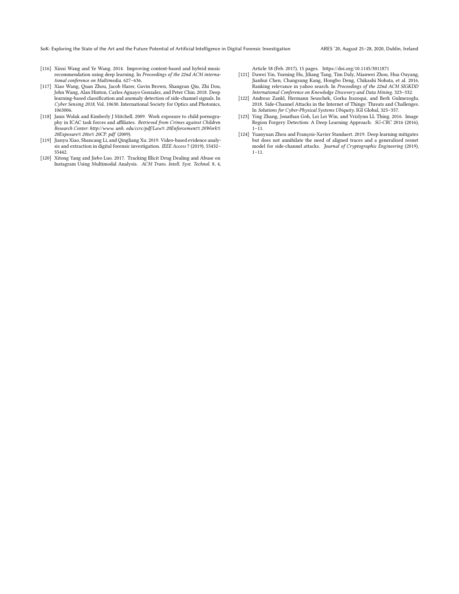<span id="page-10-0"></span>SoK: Exploring the State of the Art and the Future Potential of Artificial Intelligence in Digital Forensic Investigation ARES '20, August 25–28, 2020, Dublin, Ireland

- <span id="page-10-1"></span>[116] Xinxi Wang and Ye Wang. 2014. Improving content-based and hybrid music recommendation using deep learning. In Proceedings of the 22nd ACM international conference on Multimedia. 627–636.
- <span id="page-10-4"></span>[117] Xiao Wang, Quan Zhou, Jacob Harer, Gavin Brown, Shangran Qiu, Zhi Dou, John Wang, Alan Hinton, Carlos Aguayo Gonzalez, and Peter Chin. 2018. Deep learning-based classification and anomaly detection of side-channel signals. In Cyber Sensing 2018, Vol. 10630. International Society for Optics and Photonics, 1063006.
- <span id="page-10-7"></span>[118] Janis Wolak and Kimberly J Mitchell. 2009. Work exposure to child pornography in ICAC task forces and affiliates. Retrieved from Crimes against Children Research Center: http://www. unh. edu/ccrc/pdf/Law% 20Enforcement% 20Work% 20Exposure% 20to% 20CP. pdf (2009).
- <span id="page-10-6"></span>[119] Jianyu Xiao, Shancang Li, and Qingliang Xu. 2019. Video-based evidence analysis and extraction in digital forensic investigation. IEEE Access 7 (2019), 55432– 55442.
- [120] Xitong Yang and Jiebo Luo. 2017. Tracking Illicit Drug Dealing and Abuse on Instagram Using Multimodal Analysis. ACM Trans. Intell. Syst. Technol. 8, 4,

Article 58 (Feb. 2017), 15 pages.<https://doi.org/10.1145/3011871>

- <span id="page-10-2"></span>[121] Dawei Yin, Yuening Hu, Jiliang Tang, Tim Daly, Mianwei Zhou, Hua Ouyang, Jianhui Chen, Changsung Kang, Hongbo Deng, Chikashi Nobata, et al. 2016. Ranking relevance in yahoo search. In Proceedings of the 22nd ACM SIGKDD International Conference on Knowledge Discovery and Data Mining. 323–332.
- <span id="page-10-5"></span>[122] Andreas Zankl, Hermann Seuschek, Gorka Irazoqui, and Berk Gulmezoglu. 2018. Side-Channel Attacks in the Internet of Things: Threats and Challenges. In Solutions for Cyber-Physical Systems Ubiquity. IGI Global, 325–357.
- <span id="page-10-8"></span>[123] Ying Zhang, Jonathan Goh, Lei Lei Win, and Vrizlynn LL Thing. 2016. Image Region Forgery Detection: A Deep Learning Approach. SG-CRC 2016 (2016),  $1-\overline{1}1.$
- <span id="page-10-3"></span>[124] Yuanyuan Zhou and François-Xavier Standaert. 2019. Deep learning mitigates but does not annihilate the need of aligned traces and a generalized resnet model for side-channel attacks. Journal of Cryptographic Engineering (2019), 1–11.